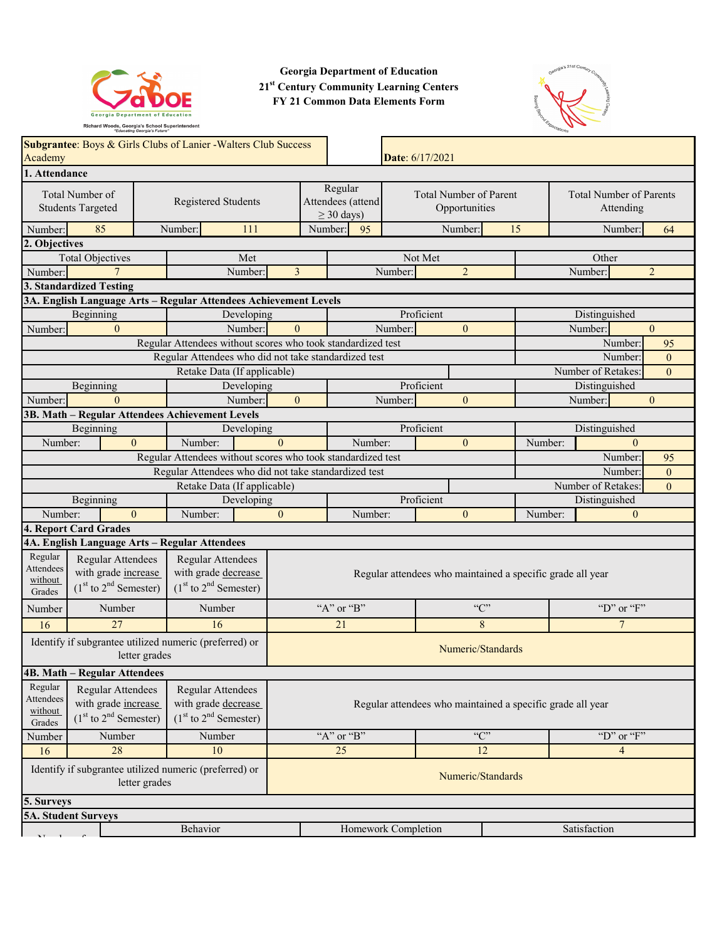

**Georgia Department of Education 21st Century Community Learning Centers FY 21 Common Data Elements Form**



| Academy                                                                                                                                                                                            | Subgrantee: Boys & Girls Clubs of Lanier -Walters Club Success<br>Date: 6/17/2021 |                     |                 |                                                                       |                                                             |                   |                                                            |                                                             |                |                   |                                             |    |                    |         |                    |                |                |
|----------------------------------------------------------------------------------------------------------------------------------------------------------------------------------------------------|-----------------------------------------------------------------------------------|---------------------|-----------------|-----------------------------------------------------------------------|-------------------------------------------------------------|-------------------|------------------------------------------------------------|-------------------------------------------------------------|----------------|-------------------|---------------------------------------------|----|--------------------|---------|--------------------|----------------|----------------|
| 1. Attendance                                                                                                                                                                                      |                                                                                   |                     |                 |                                                                       |                                                             |                   |                                                            |                                                             |                |                   |                                             |    |                    |         |                    |                |                |
| Total Number of<br><b>Students Targeted</b>                                                                                                                                                        |                                                                                   | Registered Students |                 |                                                                       | Regular<br>Attendees (attend<br>$\geq$ 30 days)             |                   |                                                            | <b>Total Number of Parent</b><br>Opportunities              |                |                   | <b>Total Number of Parents</b><br>Attending |    |                    |         |                    |                |                |
| Number:                                                                                                                                                                                            | 85                                                                                |                     | Number:         |                                                                       | 111                                                         |                   | Number:                                                    | 95                                                          |                |                   | Number:                                     | 15 |                    |         | Number:            |                | 64             |
| 2. Objectives                                                                                                                                                                                      |                                                                                   |                     |                 |                                                                       |                                                             |                   |                                                            |                                                             |                |                   |                                             |    |                    |         |                    |                |                |
|                                                                                                                                                                                                    | <b>Total Objectives</b>                                                           |                     |                 |                                                                       | Met                                                         |                   |                                                            |                                                             |                | Not Met           |                                             |    |                    |         | Other              |                |                |
| Number:                                                                                                                                                                                            | $\overline{7}$                                                                    |                     |                 |                                                                       | Number:                                                     | $\overline{3}$    |                                                            |                                                             | Number:        |                   | $\overline{2}$                              |    |                    |         | Number:            |                | $\overline{2}$ |
|                                                                                                                                                                                                    | 3. Standardized Testing                                                           |                     |                 |                                                                       |                                                             |                   |                                                            |                                                             |                |                   |                                             |    |                    |         |                    |                |                |
|                                                                                                                                                                                                    | 3A. English Language Arts - Regular Attendees Achievement Levels                  |                     |                 |                                                                       |                                                             |                   |                                                            |                                                             |                |                   |                                             |    |                    |         |                    |                |                |
|                                                                                                                                                                                                    | Beginning                                                                         |                     |                 |                                                                       | Developing                                                  |                   |                                                            |                                                             |                | Proficient        |                                             |    |                    |         | Distinguished      |                |                |
| Number:                                                                                                                                                                                            | $\theta$                                                                          |                     |                 |                                                                       | Number:                                                     | $\theta$          |                                                            |                                                             | Number:        |                   | $\Omega$                                    |    |                    |         | Number:            |                | $\theta$       |
|                                                                                                                                                                                                    |                                                                                   |                     |                 |                                                                       |                                                             |                   |                                                            | Regular Attendees without scores who took standardized test |                |                   |                                             |    |                    |         | Number:            |                | 95             |
|                                                                                                                                                                                                    |                                                                                   |                     |                 |                                                                       |                                                             |                   |                                                            | Regular Attendees who did not take standardized test        |                |                   |                                             |    |                    |         | Number:            |                | $\mathbf{0}$   |
|                                                                                                                                                                                                    |                                                                                   |                     |                 |                                                                       | Retake Data (If applicable)                                 |                   |                                                            |                                                             |                |                   |                                             |    |                    |         | Number of Retakes: |                | $\theta$       |
|                                                                                                                                                                                                    | Beginning                                                                         |                     |                 |                                                                       | Developing                                                  |                   |                                                            |                                                             |                | Proficient        |                                             |    |                    |         | Distinguished      |                |                |
| Number:                                                                                                                                                                                            | $\Omega$                                                                          |                     |                 |                                                                       | Number:                                                     | $\Omega$          |                                                            |                                                             | Number:        |                   | $\Omega$                                    |    |                    |         | Number:            |                | $\overline{0}$ |
|                                                                                                                                                                                                    | 3B. Math - Regular Attendees Achievement Levels                                   |                     |                 |                                                                       |                                                             |                   |                                                            |                                                             |                |                   |                                             |    |                    |         |                    |                |                |
|                                                                                                                                                                                                    | Beginning                                                                         |                     |                 |                                                                       | Developing                                                  |                   |                                                            |                                                             |                | Proficient        |                                             |    |                    |         | Distinguished      |                |                |
| Number:                                                                                                                                                                                            | $\theta$                                                                          |                     | Number:         |                                                                       |                                                             | $\Omega$          |                                                            | Number:                                                     |                |                   | $\theta$                                    |    | Number:            |         |                    | $\theta$       |                |
|                                                                                                                                                                                                    |                                                                                   |                     |                 |                                                                       | Regular Attendees without scores who took standardized test |                   |                                                            |                                                             |                |                   | Number:                                     |    | 95                 |         |                    |                |                |
| Regular Attendees who did not take standardized test                                                                                                                                               |                                                                                   |                     |                 |                                                                       |                                                             |                   |                                                            |                                                             |                |                   |                                             |    |                    | Number: |                    | $\overline{0}$ |                |
| Retake Data (If applicable)                                                                                                                                                                        |                                                                                   |                     |                 |                                                                       |                                                             |                   |                                                            |                                                             |                |                   |                                             |    | Number of Retakes: |         | $\overline{0}$     |                |                |
|                                                                                                                                                                                                    | Beginning                                                                         |                     |                 |                                                                       | Developing                                                  |                   |                                                            |                                                             |                | Proficient        |                                             |    |                    |         | Distinguished      |                |                |
| Number:                                                                                                                                                                                            | $\theta$                                                                          |                     | Number:         |                                                                       |                                                             | $\theta$          |                                                            | Number:                                                     |                |                   | $\mathbf{0}$                                |    | Number:            |         |                    | $\mathbf{0}$   |                |
|                                                                                                                                                                                                    | 4. Report Card Grades                                                             |                     |                 |                                                                       |                                                             |                   |                                                            |                                                             |                |                   |                                             |    |                    |         |                    |                |                |
|                                                                                                                                                                                                    | 4A. English Language Arts - Regular Attendees                                     |                     |                 |                                                                       |                                                             |                   |                                                            |                                                             |                |                   |                                             |    |                    |         |                    |                |                |
| Regular<br>Attendees<br>without<br>Grades                                                                                                                                                          | Regular Attendees<br>with grade increase<br>$(1st$ to $2nd$ Semester)             |                     |                 | Regular Attendees<br>with grade decrease<br>$(1st$ to $2nd$ Semester) |                                                             |                   | Regular attendees who maintained a specific grade all year |                                                             |                |                   |                                             |    |                    |         |                    |                |                |
| Number                                                                                                                                                                                             | Number                                                                            |                     |                 | Number                                                                |                                                             |                   |                                                            | "A" or "B"                                                  |                |                   | C                                           |    |                    |         | "D" or "F"         |                |                |
| 16                                                                                                                                                                                                 | 27                                                                                |                     |                 | 16                                                                    |                                                             |                   |                                                            | 8<br>21                                                     |                |                   |                                             |    |                    | 7       |                    |                |                |
|                                                                                                                                                                                                    | Identify if subgrantee utilized numeric (preferred) or                            | letter grades       |                 |                                                                       |                                                             | Numeric/Standards |                                                            |                                                             |                |                   |                                             |    |                    |         |                    |                |                |
|                                                                                                                                                                                                    | <b>4B. Math - Regular Attendees</b>                                               |                     |                 |                                                                       |                                                             |                   |                                                            |                                                             |                |                   |                                             |    |                    |         |                    |                |                |
| Regular<br>Regular Attendees<br>Regular Attendees<br><b>Attendees</b><br>with grade increase<br>with grade decrease<br>without<br>$(1st$ to $2nd$ Semester)<br>$(1st$ to $2nd$ Semester)<br>Grades |                                                                                   |                     |                 |                                                                       | Regular attendees who maintained a specific grade all year  |                   |                                                            |                                                             |                |                   |                                             |    |                    |         |                    |                |                |
| Number<br>Number<br>Number                                                                                                                                                                         |                                                                                   |                     | C<br>"A" or "B" |                                                                       |                                                             |                   |                                                            |                                                             | "D" or " $F$ " |                   |                                             |    |                    |         |                    |                |                |
| 28<br>10<br>16                                                                                                                                                                                     |                                                                                   |                     |                 |                                                                       | $\overline{12}$<br>25                                       |                   |                                                            |                                                             |                |                   | $\overline{4}$                              |    |                    |         |                    |                |                |
| Identify if subgrantee utilized numeric (preferred) or<br>letter grades                                                                                                                            |                                                                                   |                     |                 |                                                                       |                                                             |                   |                                                            |                                                             |                | Numeric/Standards |                                             |    |                    |         |                    |                |                |
|                                                                                                                                                                                                    | 5. Surveys                                                                        |                     |                 |                                                                       |                                                             |                   |                                                            |                                                             |                |                   |                                             |    |                    |         |                    |                |                |
|                                                                                                                                                                                                    | <b>5A. Student Surveys</b>                                                        |                     |                 |                                                                       |                                                             |                   |                                                            |                                                             |                |                   |                                             |    |                    |         |                    |                |                |
|                                                                                                                                                                                                    |                                                                                   |                     | Behavior        |                                                                       |                                                             |                   |                                                            | Homework Completion                                         |                |                   |                                             |    |                    |         | Satisfaction       |                |                |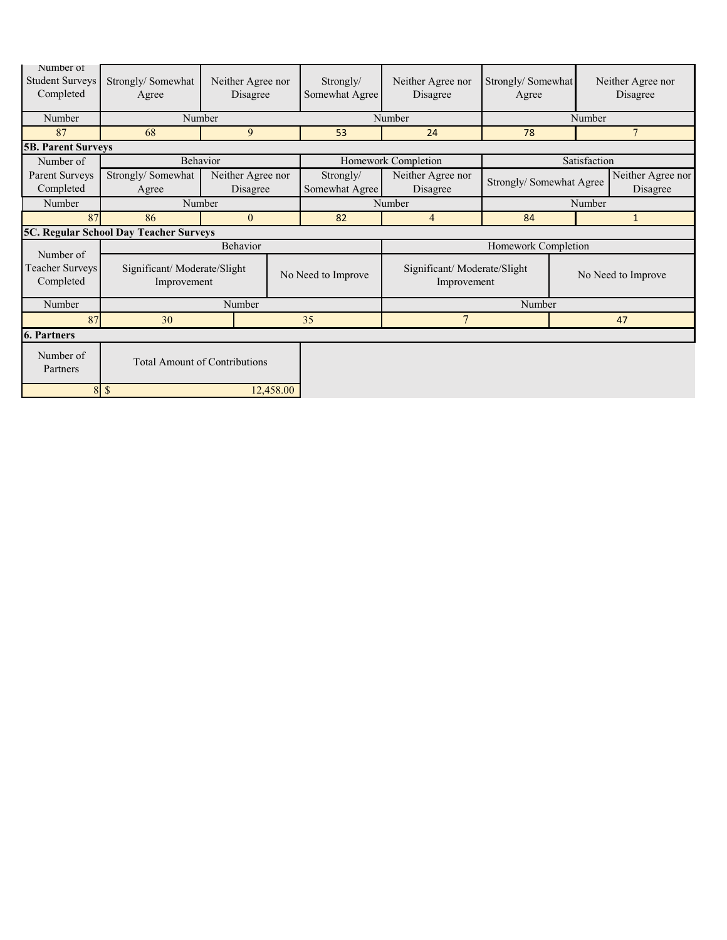| Number of<br><b>Student Surveys</b><br>Completed | Strongly/Somewhat<br>Agree                 | Neither Agree nor<br>Disagree |                    | Strongly/<br>Somewhat Agree | Neither Agree nor<br>Disagree              | Strongly/Somewhat<br>Agree |                                                           | Neither Agree nor<br>Disagree |  |
|--------------------------------------------------|--------------------------------------------|-------------------------------|--------------------|-----------------------------|--------------------------------------------|----------------------------|-----------------------------------------------------------|-------------------------------|--|
| Number                                           | Number                                     |                               |                    |                             | Number                                     |                            | Number                                                    |                               |  |
| 87                                               | 68                                         | 9                             |                    | 53                          | 24                                         | 78                         |                                                           | $\overline{7}$                |  |
| <b>5B. Parent Surveys</b>                        |                                            |                               |                    |                             |                                            |                            |                                                           |                               |  |
| Number of                                        | Behavior                                   |                               |                    |                             | Homework Completion                        |                            | Satisfaction                                              |                               |  |
| Parent Surveys<br>Completed                      | Strongly/Somewhat<br>Agree                 | Neither Agree nor<br>Disagree |                    | Strongly/<br>Somewhat Agree | Neither Agree nor<br>Disagree              |                            | Neither Agree nor<br>Strongly/ Somewhat Agree<br>Disagree |                               |  |
| Number                                           | Number                                     |                               |                    |                             | Number                                     | Number                     |                                                           |                               |  |
| 87                                               | 86                                         | $\theta$                      |                    | 82                          | $\overline{4}$                             | 84                         |                                                           | $\mathbf{1}$                  |  |
|                                                  | 5C. Regular School Day Teacher Surveys     |                               |                    |                             |                                            |                            |                                                           |                               |  |
| Number of                                        |                                            | Behavior                      |                    |                             |                                            | Homework Completion        |                                                           |                               |  |
| Teacher Surveys<br>Completed                     | Significant/Moderate/Slight<br>Improvement |                               | No Need to Improve |                             | Significant/Moderate/Slight<br>Improvement |                            | No Need to Improve                                        |                               |  |
| Number                                           |                                            | Number                        |                    |                             | Number                                     |                            |                                                           |                               |  |
| 87                                               | 30                                         |                               | 35                 | $\overline{7}$              |                                            | 47                         |                                                           |                               |  |
| <b>6. Partners</b>                               |                                            |                               |                    |                             |                                            |                            |                                                           |                               |  |
| Number of<br>Partners                            | <b>Total Amount of Contributions</b>       |                               |                    |                             |                                            |                            |                                                           |                               |  |
| 8<br>$\mathcal{S}$<br>12,458.00                  |                                            |                               |                    |                             |                                            |                            |                                                           |                               |  |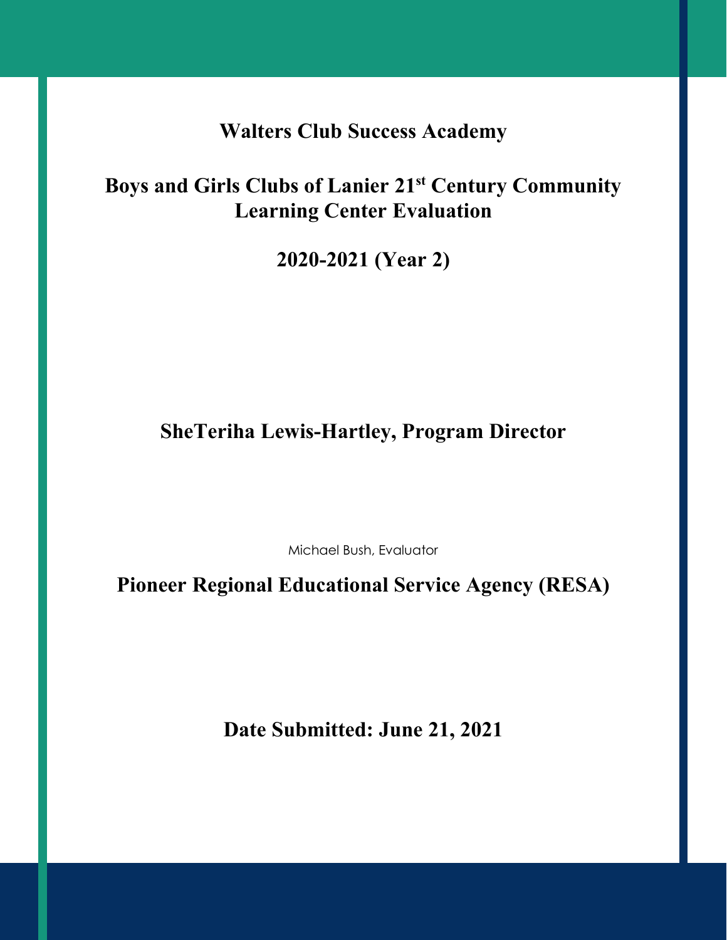**Walters Club Success Academy**

# **Boys and Girls Clubs of Lanier 21st Century Community Learning Center Evaluation**

**2020-2021 (Year 2)**

# **SheTeriha Lewis-Hartley, Program Director**

Michael Bush, Evaluator

**Pioneer Regional Educational Service Agency (RESA)**

**Date Submitted: June 21, 2021**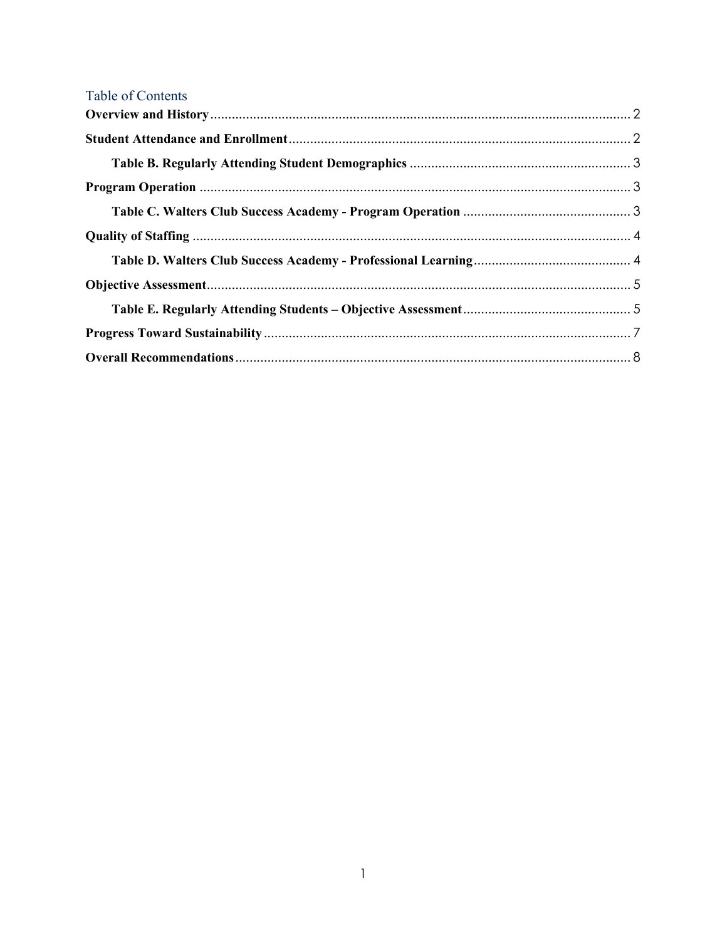| Table of Contents |  |
|-------------------|--|
|                   |  |
|                   |  |
|                   |  |
|                   |  |
|                   |  |
|                   |  |
|                   |  |
|                   |  |
|                   |  |
|                   |  |
|                   |  |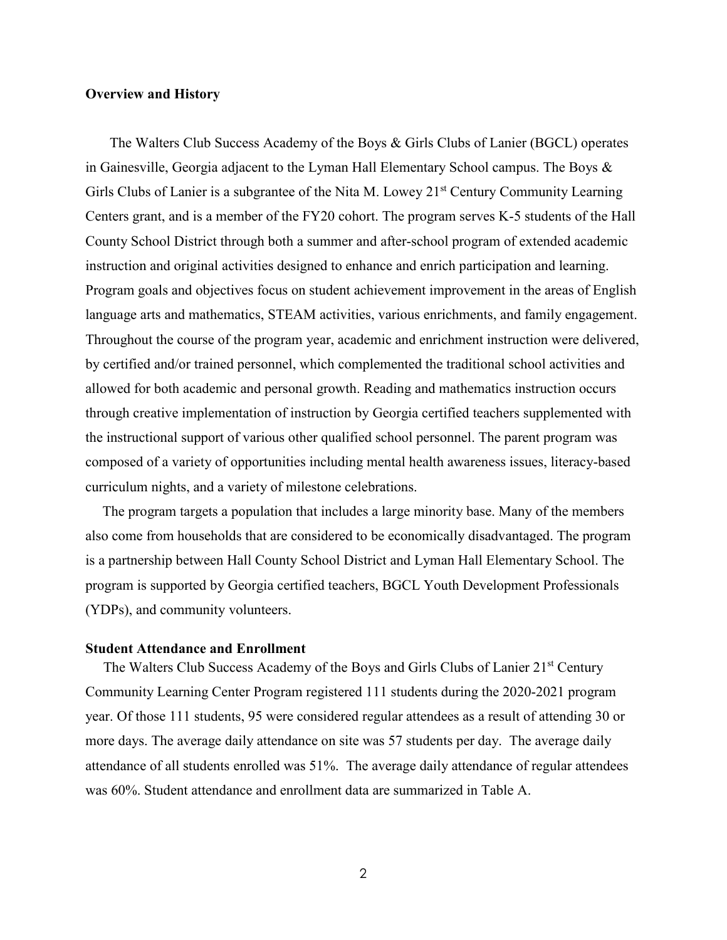#### <span id="page-4-0"></span>**Overview and History**

 The Walters Club Success Academy of the Boys & Girls Clubs of Lanier (BGCL) operates in Gainesville, Georgia adjacent to the Lyman Hall Elementary School campus. The Boys & Girls Clubs of Lanier is a subgrantee of the Nita M. Lowey 21<sup>st</sup> Century Community Learning Centers grant, and is a member of the FY20 cohort. The program serves K-5 students of the Hall County School District through both a summer and after-school program of extended academic instruction and original activities designed to enhance and enrich participation and learning. Program goals and objectives focus on student achievement improvement in the areas of English language arts and mathematics, STEAM activities, various enrichments, and family engagement. Throughout the course of the program year, academic and enrichment instruction were delivered, by certified and/or trained personnel, which complemented the traditional school activities and allowed for both academic and personal growth. Reading and mathematics instruction occurs through creative implementation of instruction by Georgia certified teachers supplemented with the instructional support of various other qualified school personnel. The parent program was composed of a variety of opportunities including mental health awareness issues, literacy-based curriculum nights, and a variety of milestone celebrations.

The program targets a population that includes a large minority base. Many of the members also come from households that are considered to be economically disadvantaged. The program is a partnership between Hall County School District and Lyman Hall Elementary School. The program is supported by Georgia certified teachers, BGCL Youth Development Professionals (YDPs), and community volunteers.

#### <span id="page-4-1"></span>**Student Attendance and Enrollment**

The Walters Club Success Academy of the Boys and Girls Clubs of Lanier 21<sup>st</sup> Century Community Learning Center Program registered 111 students during the 2020-2021 program year. Of those 111 students, 95 were considered regular attendees as a result of attending 30 or more days. The average daily attendance on site was 57 students per day. The average daily attendance of all students enrolled was 51%. The average daily attendance of regular attendees was 60%. Student attendance and enrollment data are summarized in Table A.

2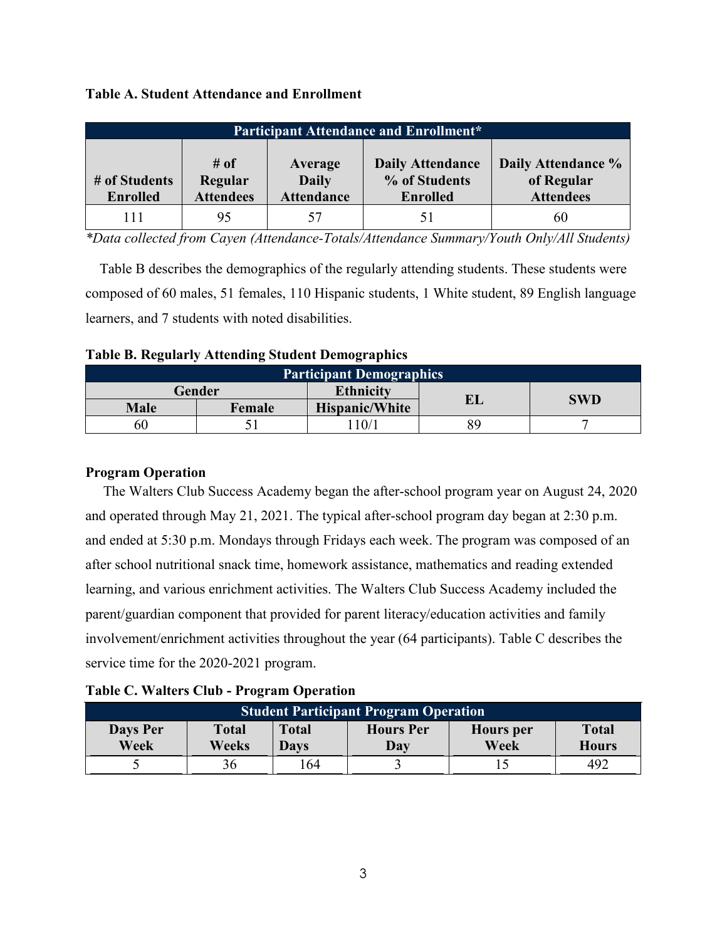|  |  |  |  | <b>Table A. Student Attendance and Enrollment</b> |
|--|--|--|--|---------------------------------------------------|
|--|--|--|--|---------------------------------------------------|

| <b>Participant Attendance and Enrollment*</b> |                                        |                                              |                                                             |                                                      |  |  |  |
|-----------------------------------------------|----------------------------------------|----------------------------------------------|-------------------------------------------------------------|------------------------------------------------------|--|--|--|
| # of Students<br><b>Enrolled</b>              | $\#$ of<br>Regular<br><b>Attendees</b> | Average<br><b>Daily</b><br><b>Attendance</b> | <b>Daily Attendance</b><br>% of Students<br><b>Enrolled</b> | Daily Attendance %<br>of Regular<br><b>Attendees</b> |  |  |  |
| 111                                           | 95                                     |                                              | 51                                                          | 60                                                   |  |  |  |

*\*Data collected from Cayen (Attendance-Totals/Attendance Summary/Youth Only/All Students)*

 Table B describes the demographics of the regularly attending students. These students were composed of 60 males, 51 females, 110 Hispanic students, 1 White student, 89 English language learners, and 7 students with noted disabilities.

<span id="page-5-0"></span>

|  |  | <b>Table B. Regularly Attending Student Demographics</b> |
|--|--|----------------------------------------------------------|
|  |  |                                                          |

| <b>Participant Demographics</b> |        |                       |     |     |  |  |  |
|---------------------------------|--------|-----------------------|-----|-----|--|--|--|
|                                 | Gender | <b>Ethnicity</b>      | EI. | SWD |  |  |  |
| <b>Male</b>                     | Female | <b>Hispanic/White</b> |     |     |  |  |  |
| 60                              |        | 10/1                  | 89  |     |  |  |  |

#### <span id="page-5-1"></span>**Program Operation**

 The Walters Club Success Academy began the after-school program year on August 24, 2020 and operated through May 21, 2021. The typical after-school program day began at 2:30 p.m. and ended at 5:30 p.m. Mondays through Fridays each week. The program was composed of an after school nutritional snack time, homework assistance, mathematics and reading extended learning, and various enrichment activities. The Walters Club Success Academy included the parent/guardian component that provided for parent literacy/education activities and family involvement/enrichment activities throughout the year (64 participants). Table C describes the service time for the 2020-2021 program.

<span id="page-5-2"></span>

| <b>Table C. Walters Club - Program Operation</b> |  |
|--------------------------------------------------|--|
|--------------------------------------------------|--|

| <b>Student Participant Program Operation</b> |                       |                      |                         |                          |                              |  |  |
|----------------------------------------------|-----------------------|----------------------|-------------------------|--------------------------|------------------------------|--|--|
| Days Per<br>Week                             | <b>Total</b><br>Weeks | <b>Total</b><br>Davs | <b>Hours</b> Per<br>Day | <b>Hours</b> per<br>Week | <b>Total</b><br><b>Hours</b> |  |  |
|                                              |                       | .64                  |                         |                          | 492                          |  |  |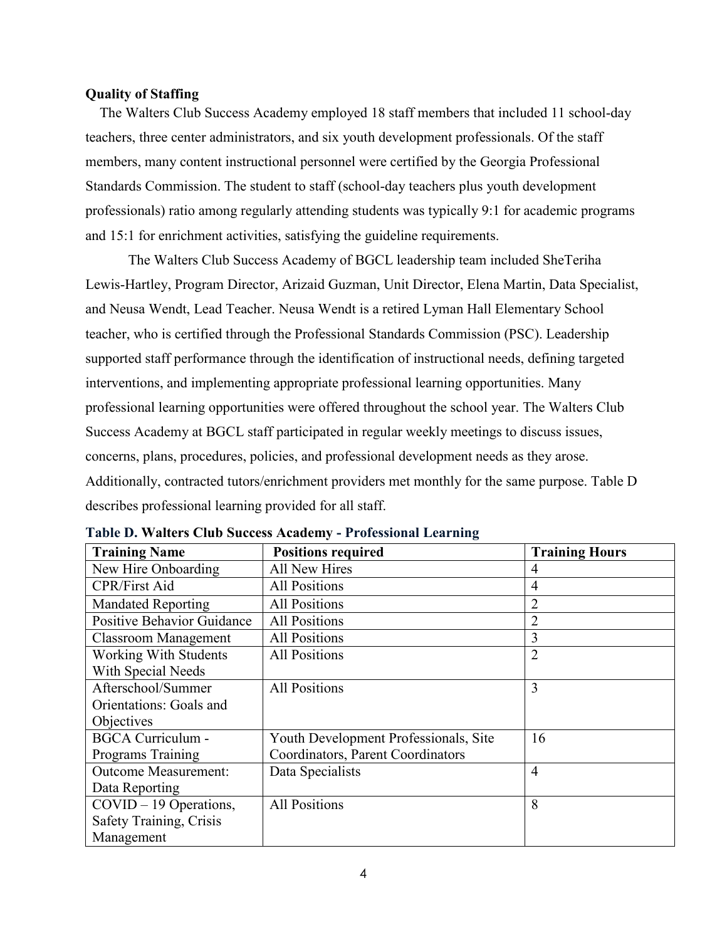#### <span id="page-6-0"></span>**Quality of Staffing**

 The Walters Club Success Academy employed 18 staff members that included 11 school-day teachers, three center administrators, and six youth development professionals. Of the staff members, many content instructional personnel were certified by the Georgia Professional Standards Commission. The student to staff (school-day teachers plus youth development professionals) ratio among regularly attending students was typically 9:1 for academic programs and 15:1 for enrichment activities, satisfying the guideline requirements.

The Walters Club Success Academy of BGCL leadership team included SheTeriha Lewis-Hartley, Program Director, Arizaid Guzman, Unit Director, Elena Martin, Data Specialist, and Neusa Wendt, Lead Teacher. Neusa Wendt is a retired Lyman Hall Elementary School teacher, who is certified through the Professional Standards Commission (PSC). Leadership supported staff performance through the identification of instructional needs, defining targeted interventions, and implementing appropriate professional learning opportunities. Many professional learning opportunities were offered throughout the school year. The Walters Club Success Academy at BGCL staff participated in regular weekly meetings to discuss issues, concerns, plans, procedures, policies, and professional development needs as they arose. Additionally, contracted tutors/enrichment providers met monthly for the same purpose. Table D describes professional learning provided for all staff.

| <b>Training Name</b>              | <b>Positions required</b>             | <b>Training Hours</b> |
|-----------------------------------|---------------------------------------|-----------------------|
| New Hire Onboarding               | <b>All New Hires</b>                  | 4                     |
| <b>CPR/First Aid</b>              | <b>All Positions</b>                  | 4                     |
| <b>Mandated Reporting</b>         | <b>All Positions</b>                  | $\overline{2}$        |
| <b>Positive Behavior Guidance</b> | <b>All Positions</b>                  | $\overline{2}$        |
| <b>Classroom Management</b>       | <b>All Positions</b>                  | 3                     |
| <b>Working With Students</b>      | <b>All Positions</b>                  | $\overline{2}$        |
| With Special Needs                |                                       |                       |
| Afterschool/Summer                | <b>All Positions</b>                  | 3                     |
| Orientations: Goals and           |                                       |                       |
| Objectives                        |                                       |                       |
| <b>BGCA Curriculum -</b>          | Youth Development Professionals, Site | 16                    |
| Programs Training                 | Coordinators, Parent Coordinators     |                       |
| <b>Outcome Measurement:</b>       | Data Specialists                      | $\overline{4}$        |
| Data Reporting                    |                                       |                       |
| $COVID - 19$ Operations,          | <b>All Positions</b>                  | 8                     |
| Safety Training, Crisis           |                                       |                       |
| Management                        |                                       |                       |

<span id="page-6-1"></span>**Table D. Walters Club Success Academy - Professional Learning**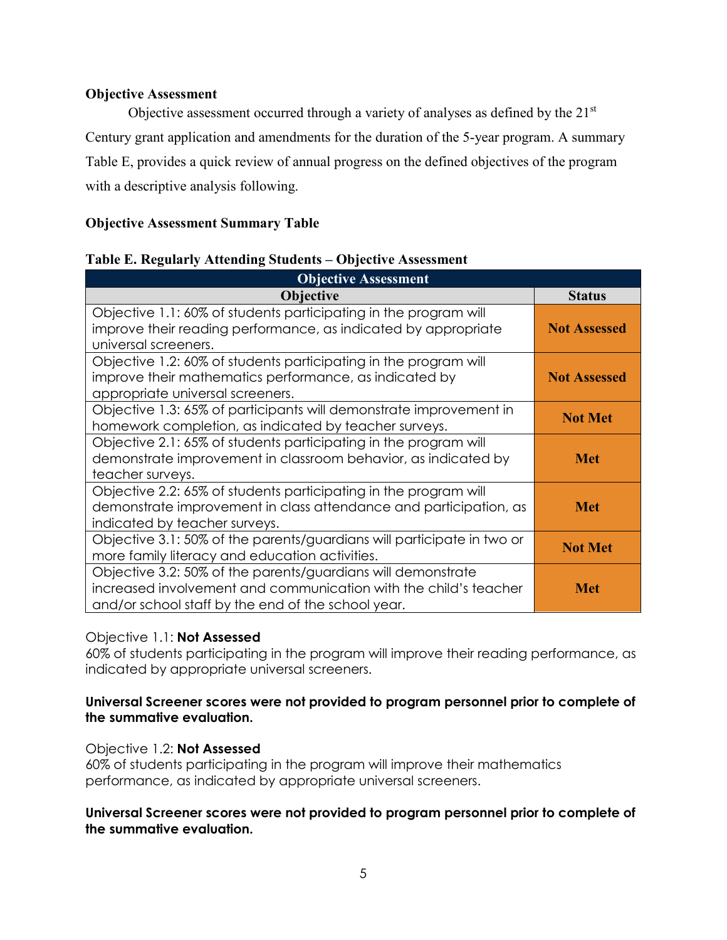## <span id="page-7-0"></span>**Objective Assessment**

Objective assessment occurred through a variety of analyses as defined by the 21<sup>st</sup> Century grant application and amendments for the duration of the 5-year program. A summary Table E, provides a quick review of annual progress on the defined objectives of the program with a descriptive analysis following.

# **Objective Assessment Summary Table**

## <span id="page-7-1"></span>**Table E. Regularly Attending Students – Objective Assessment**

| <b>Objective Assessment</b>                                                                                                                                                            |                     |
|----------------------------------------------------------------------------------------------------------------------------------------------------------------------------------------|---------------------|
| <b>Objective</b>                                                                                                                                                                       | <b>Status</b>       |
| Objective 1.1: 60% of students participating in the program will<br>improve their reading performance, as indicated by appropriate<br>universal screeners.                             | <b>Not Assessed</b> |
| Objective 1.2: 60% of students participating in the program will<br>improve their mathematics performance, as indicated by<br>appropriate universal screeners.                         | <b>Not Assessed</b> |
| Objective 1.3: 65% of participants will demonstrate improvement in<br>homework completion, as indicated by teacher surveys.                                                            | <b>Not Met</b>      |
| Objective 2.1: 65% of students participating in the program will<br>demonstrate improvement in classroom behavior, as indicated by<br>teacher surveys.                                 | <b>Met</b>          |
| Objective 2.2: 65% of students participating in the program will<br>demonstrate improvement in class attendance and participation, as<br>indicated by teacher surveys.                 | Met                 |
| Objective 3.1: 50% of the parents/guardians will participate in two or<br>more family literacy and education activities.                                                               | <b>Not Met</b>      |
| Objective 3.2: 50% of the parents/guardians will demonstrate<br>increased involvement and communication with the child's teacher<br>and/or school staff by the end of the school year. | Met                 |

# Objective 1.1: **Not Assessed**

60% of students participating in the program will improve their reading performance, as indicated by appropriate universal screeners.

## **Universal Screener scores were not provided to program personnel prior to complete of the summative evaluation.**

# Objective 1.2: **Not Assessed**

60% of students participating in the program will improve their mathematics performance, as indicated by appropriate universal screeners.

#### **Universal Screener scores were not provided to program personnel prior to complete of the summative evaluation.**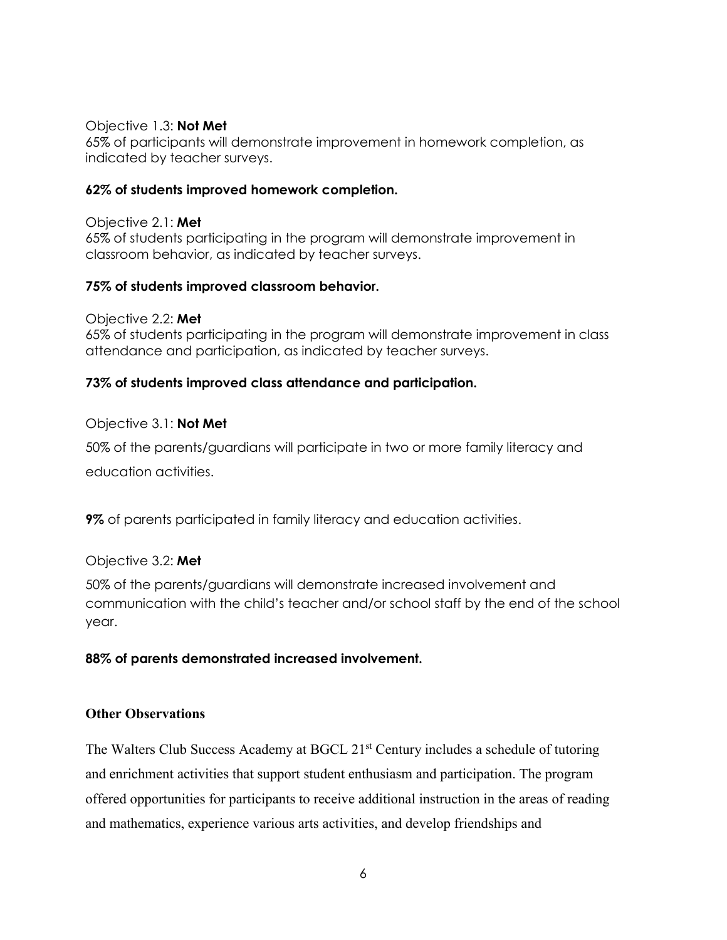#### Objective 1.3: **Not Met**

65% of participants will demonstrate improvement in homework completion, as indicated by teacher surveys.

## **62% of students improved homework completion.**

Objective 2.1: **Met** 65% of students participating in the program will demonstrate improvement in classroom behavior, as indicated by teacher surveys.

## **75% of students improved classroom behavior.**

Objective 2.2: **Met** 65% of students participating in the program will demonstrate improvement in class attendance and participation, as indicated by teacher surveys.

# **73% of students improved class attendance and participation.**

## Objective 3.1: **Not Met**

50% of the parents/guardians will participate in two or more family literacy and education activities.

**9%** of parents participated in family literacy and education activities.

#### Objective 3.2: **Met**

50% of the parents/guardians will demonstrate increased involvement and communication with the child's teacher and/or school staff by the end of the school year.

#### **88% of parents demonstrated increased involvement.**

#### **Other Observations**

The Walters Club Success Academy at BGCL 21<sup>st</sup> Century includes a schedule of tutoring and enrichment activities that support student enthusiasm and participation. The program offered opportunities for participants to receive additional instruction in the areas of reading and mathematics, experience various arts activities, and develop friendships and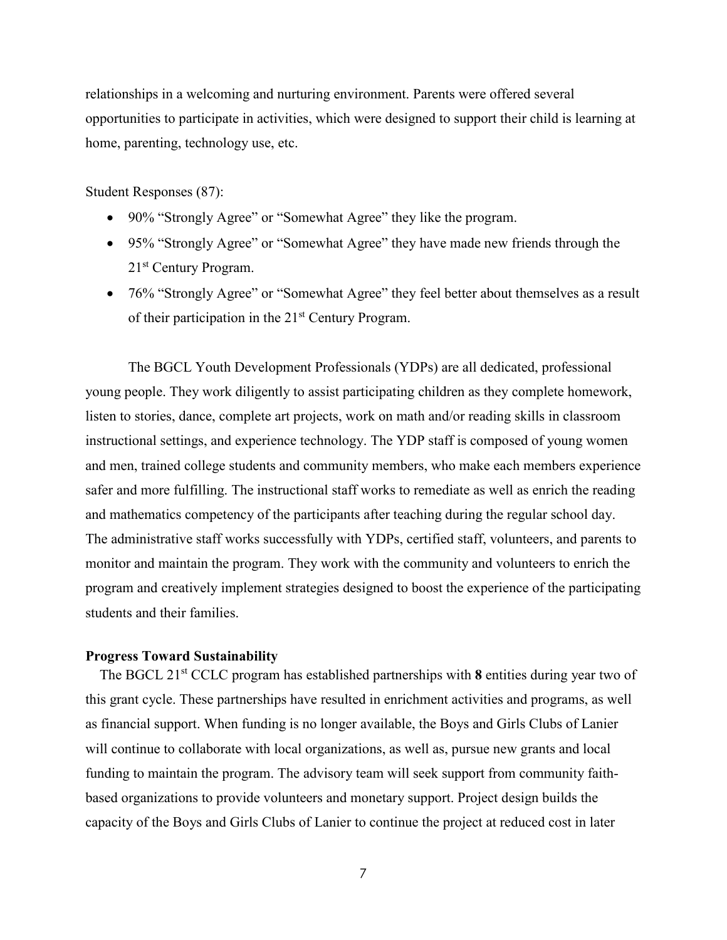relationships in a welcoming and nurturing environment. Parents were offered several opportunities to participate in activities, which were designed to support their child is learning at home, parenting, technology use, etc.

Student Responses (87):

- 90% "Strongly Agree" or "Somewhat Agree" they like the program.
- 95% "Strongly Agree" or "Somewhat Agree" they have made new friends through the 21st Century Program.
- 76% "Strongly Agree" or "Somewhat Agree" they feel better about themselves as a result of their participation in the  $21<sup>st</sup>$  Century Program.

The BGCL Youth Development Professionals (YDPs) are all dedicated, professional young people. They work diligently to assist participating children as they complete homework, listen to stories, dance, complete art projects, work on math and/or reading skills in classroom instructional settings, and experience technology. The YDP staff is composed of young women and men, trained college students and community members, who make each members experience safer and more fulfilling. The instructional staff works to remediate as well as enrich the reading and mathematics competency of the participants after teaching during the regular school day. The administrative staff works successfully with YDPs, certified staff, volunteers, and parents to monitor and maintain the program. They work with the community and volunteers to enrich the program and creatively implement strategies designed to boost the experience of the participating students and their families.

#### <span id="page-9-0"></span>**Progress Toward Sustainability**

 The BGCL 21st CCLC program has established partnerships with **8** entities during year two of this grant cycle. These partnerships have resulted in enrichment activities and programs, as well as financial support. When funding is no longer available, the Boys and Girls Clubs of Lanier will continue to collaborate with local organizations, as well as, pursue new grants and local funding to maintain the program. The advisory team will seek support from community faithbased organizations to provide volunteers and monetary support. Project design builds the capacity of the Boys and Girls Clubs of Lanier to continue the project at reduced cost in later

7